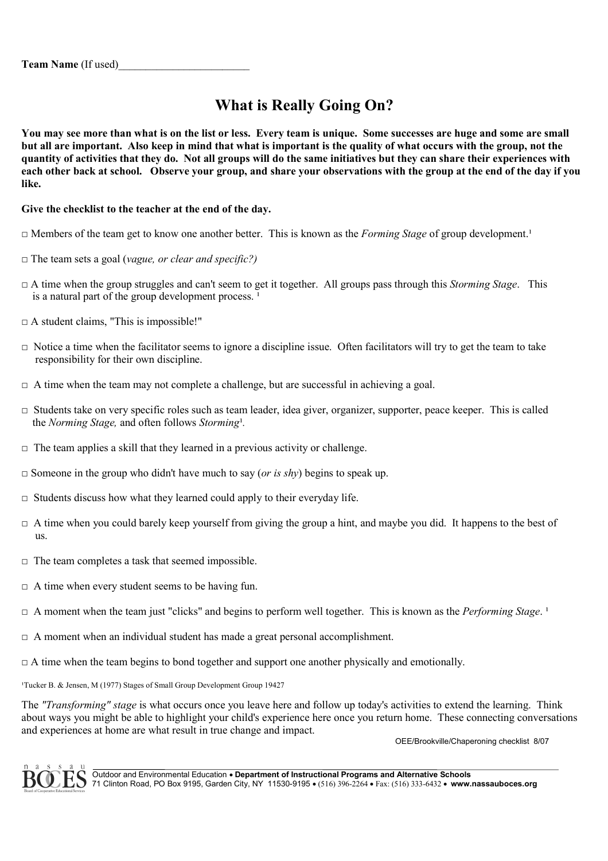# **What is Really Going On?**

**You may see more than what is on the list or less. Every team is unique. Some successes are huge and some are small but all are important. Also keep in mind that what is important is the quality of what occurs with the group, not the quantity of activities that they do. Not all groups will do the same initiatives but they can share their experiences with each other back at school. Observe your group, and share your observations with the group at the end of the day if you like.**

## **Give the checklist to the teacher at the end of the day.**

- □ Members of the team get to know one another better. This is known as the *Forming Stage* of group development.<sup>1</sup>
- □ The team sets a goal (*vague, or clear and specific?)*
- $\Box$  A time when the group struggles and can't seem to get it together. All groups pass through this *Storming Stage*. This is a natural part of the group development process.<sup>1</sup>
- $\Box$  A student claims, "This is impossible!"
- $\Box$  Notice a time when the facilitator seems to ignore a discipline issue. Often facilitators will try to get the team to take responsibility for their own discipline.
- $\Box$  A time when the team may not complete a challenge, but are successful in achieving a goal.
- $\Box$  Students take on very specific roles such as team leader, idea giver, organizer, supporter, peace keeper. This is called the *Norming Stage*, and often follows *Storming*<sup>1</sup>.
- $\Box$  The team applies a skill that they learned in a previous activity or challenge.
- $\Box$  Someone in the group who didn't have much to say (*or is shy*) begins to speak up.
- $\Box$  Students discuss how what they learned could apply to their everyday life.
- $\Box$  A time when you could barely keep yourself from giving the group a hint, and maybe you did. It happens to the best of us.
- $\Box$  The team completes a task that seemed impossible.
- $\Box$  A time when every student seems to be having fun.
- $\Box$  A moment when the team just "clicks" and begins to perform well together. This is known as the *Performing Stage*.<sup>1</sup>
- $\Box$  A moment when an individual student has made a great personal accomplishment.
- $\Box$  A time when the team begins to bond together and support one another physically and emotionally.

<sup>1</sup>Tucker B. & Jensen, M (1977) Stages of Small Group Development Group 19427

The *"Transforming" stage* is what occurs once you leave here and follow up today's activities to extend the learning. Think about ways you might be able to highlight your child's experience here once you return home. These connecting conversations and experiences at home are what result in true change and impact.

OEE/Brookville/Chaperoning checklist 8/07